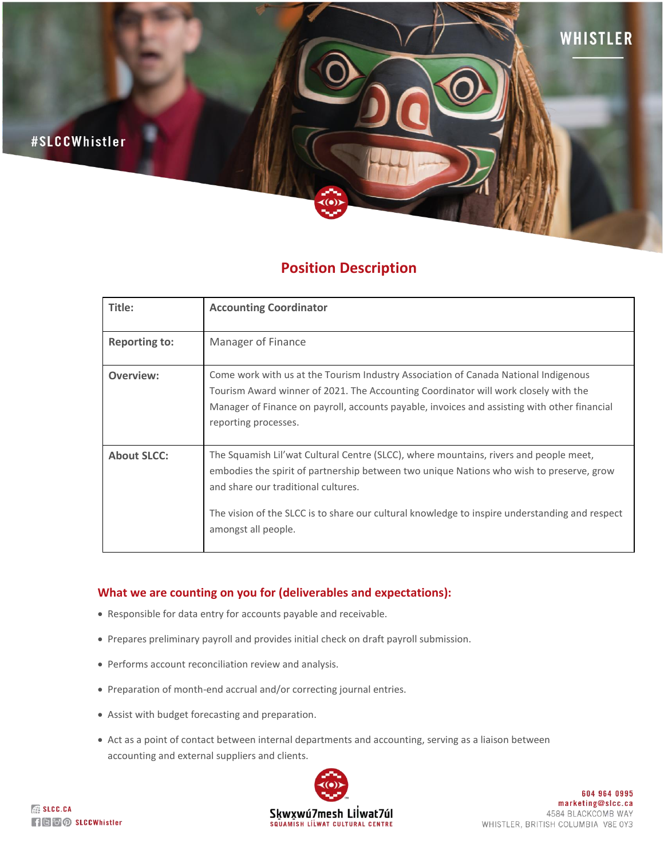

# **Position Description**

| Title:               | <b>Accounting Coordinator</b>                                                                                                                                                                                                                                                                                                                     |
|----------------------|---------------------------------------------------------------------------------------------------------------------------------------------------------------------------------------------------------------------------------------------------------------------------------------------------------------------------------------------------|
| <b>Reporting to:</b> | Manager of Finance                                                                                                                                                                                                                                                                                                                                |
| Overview:            | Come work with us at the Tourism Industry Association of Canada National Indigenous<br>Tourism Award winner of 2021. The Accounting Coordinator will work closely with the<br>Manager of Finance on payroll, accounts payable, invoices and assisting with other financial<br>reporting processes.                                                |
| <b>About SLCC:</b>   | The Squamish Lil'wat Cultural Centre (SLCC), where mountains, rivers and people meet,<br>embodies the spirit of partnership between two unique Nations who wish to preserve, grow<br>and share our traditional cultures.<br>The vision of the SLCC is to share our cultural knowledge to inspire understanding and respect<br>amongst all people. |

# **What we are counting on you for (deliverables and expectations):**

- Responsible for data entry for accounts payable and receivable.
- Prepares preliminary payroll and provides initial check on draft payroll submission.
- Performs account reconciliation review and analysis.
- Preparation of month-end accrual and/or correcting journal entries.
- Assist with budget forecasting and preparation.
- Act as a point of contact between internal departments and accounting, serving as a liaison between accounting and external suppliers and clients.



**EXAMPLE SLCC.CA REFOR** SLCCWhistler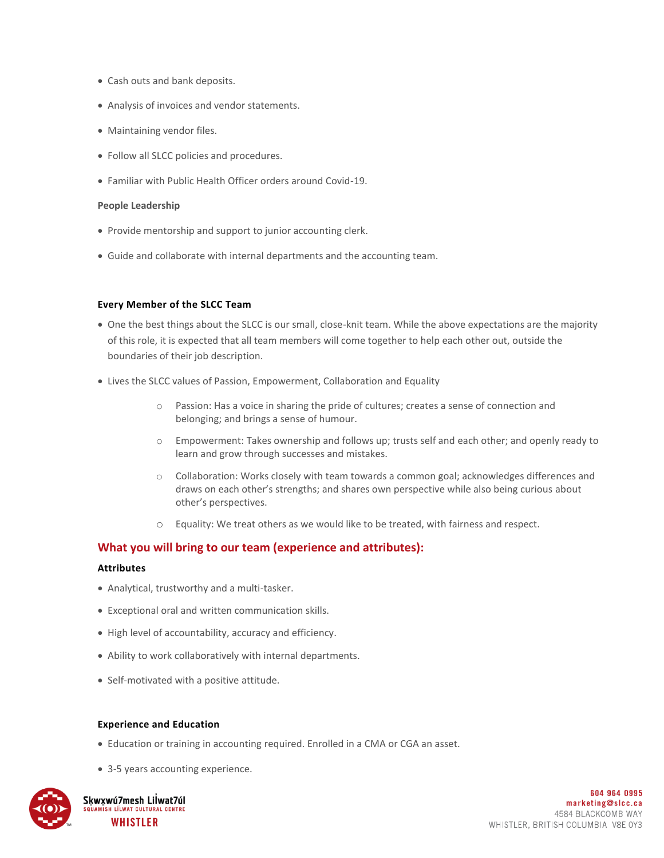- Cash outs and bank deposits.
- Analysis of invoices and vendor statements.
- Maintaining vendor files.
- Follow all SLCC policies and procedures.
- Familiar with Public Health Officer orders around Covid-19.

## **People Leadership**

- Provide mentorship and support to junior accounting clerk.
- Guide and collaborate with internal departments and the accounting team.

## **Every Member of the SLCC Team**

- One the best things about the SLCC is our small, close-knit team. While the above expectations are the majority of this role, it is expected that all team members will come together to help each other out, outside the boundaries of their job description.
- Lives the SLCC values of Passion, Empowerment, Collaboration and Equality
	- o Passion: Has a voice in sharing the pride of cultures; creates a sense of connection and belonging; and brings a sense of humour.
	- o Empowerment: Takes ownership and follows up; trusts self and each other; and openly ready to learn and grow through successes and mistakes.
	- o Collaboration: Works closely with team towards a common goal; acknowledges differences and draws on each other's strengths; and shares own perspective while also being curious about other's perspectives.
	- o Equality: We treat others as we would like to be treated, with fairness and respect.

## **What you will bring to our team (experience and attributes):**

## **Attributes**

- Analytical, trustworthy and a multi-tasker.
- Exceptional oral and written communication skills.
- High level of accountability, accuracy and efficiency.
- Ability to work collaboratively with internal departments.
- Self-motivated with a positive attitude.

## **Experience and Education**

- Education or training in accounting required. Enrolled in a CMA or CGA an asset.
- 3-5 years accounting experience.